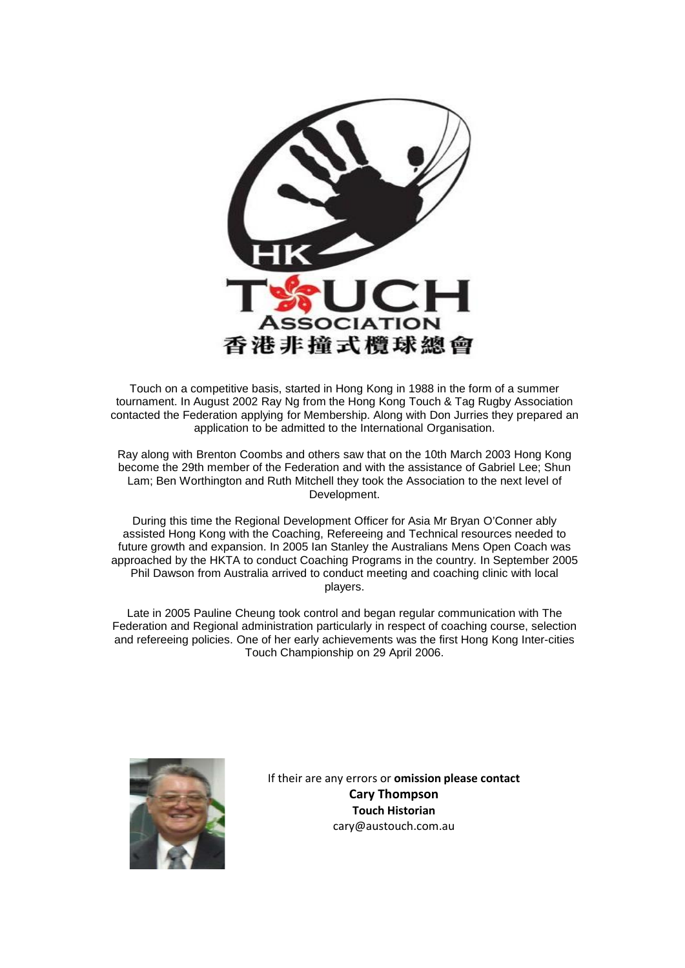

Touch on a competitive basis, started in Hong Kong in 1988 in the form of a summer tournament. In August 2002 Ray Ng from the Hong Kong Touch & Tag Rugby Association contacted the Federation applying for Membership. Along with Don Jurries they prepared an application to be admitted to the International Organisation.

Ray along with Brenton Coombs and others saw that on the 10th March 2003 Hong Kong become the 29th member of the Federation and with the assistance of Gabriel Lee; Shun Lam; Ben Worthington and Ruth Mitchell they took the Association to the next level of Development.

During this time the Regional Development Officer for Asia Mr Bryan O'Conner ably assisted Hong Kong with the Coaching, Refereeing and Technical resources needed to future growth and expansion. In 2005 Ian Stanley the Australians Mens Open Coach was approached by the HKTA to conduct Coaching Programs in the country. In September 2005 Phil Dawson from Australia arrived to conduct meeting and coaching clinic with local players.

Late in 2005 Pauline Cheung took control and began regular communication with The Federation and Regional administration particularly in respect of coaching course, selection and refereeing policies. One of her early achievements was the first Hong Kong Inter-cities Touch Championship on 29 April 2006.



If their are any errors or **omission please contact Cary Thompson Touch Historian** cary@austouch.com.au